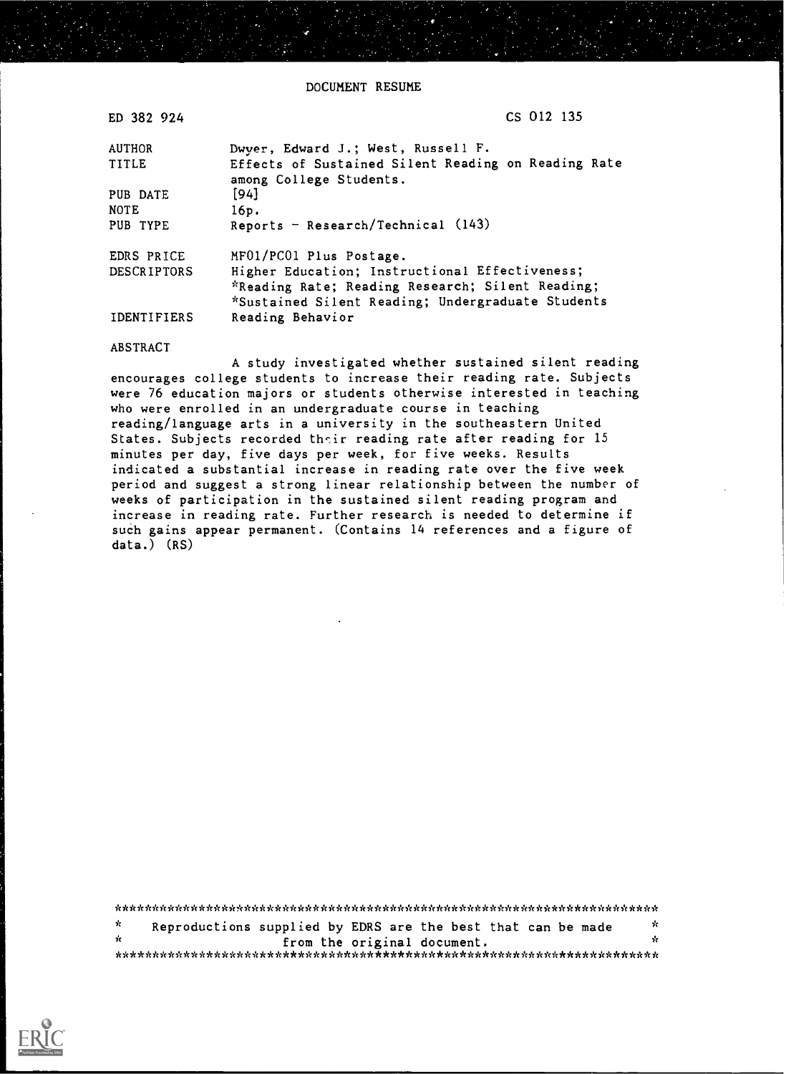DOCUMENT RESUME

| ED 382 924         | CS 012 135                                                                     |
|--------------------|--------------------------------------------------------------------------------|
| <b>AUTHOR</b>      | Dwyer, Edward J.; West, Russell F.                                             |
| TITLE              | Effects of Sustained Silent Reading on Reading Rate<br>among College Students. |
| PUB DATE           | [94]                                                                           |
| <b>NOTE</b>        | 16p.                                                                           |
| PUB TYPE           | Reports - Research/Technical $(143)$                                           |
| EDRS PRICE         | MF01/PC01 Plus Postage.                                                        |
| <b>DESCRIPTORS</b> | Higher Education; Instructional Effectiveness;                                 |
|                    | *Reading Rate; Reading Research; Silent Reading;                               |
|                    | *Sustained Silent Reading; Undergraduate Students                              |
| <b>IDENTIFIERS</b> | Reading Behavior                                                               |

ABSTRACT

A study investigated whether sustained silent reading encourages college students to increase their reading rate. Subjects were 76 education majors or students otherwise interested in teaching who were enrolled in an undergraduate course in teaching reading/language arts in a university in the southeastern United States. Subjects recorded their reading rate after reading for 15 minutes per day, five days per week, for five weeks. Results indicated a substantial increase in reading rate over the five week period and suggest a strong linear relationship between the number of weeks of participation in the sustained silent reading program and increase in reading rate. Further research is needed to determine if such gains appear permanent. (Contains 14 references and a figure of data.) (RS)

\*\*\*\*\*\*\*\*\*\*\*\*\*\*\*\*\*\*\*\*\*\*\*\*\*\*\*\*\*\*\*\*\*\*\*\*\*\*\*\*\*\*\*\*\*\*\*\*\*\*\*\*\*\*\*\*\*\*\*\*\*\*\*\*\*\*\*\*\*\*\*  $\mathbf{x}^{\prime}$ Reproductions supplied by EDRS are the best that can be made  $\frac{x}{x}$ \* from the original document. \*\*\*\*\*\*\*\*\*\*\*\*\*\*\*\*\*\*\*\*\*\*\*\*\*\*\*\*\*\*\*\*\*\*\*\*\*\*\*\*\*\*\*\*\*\*\*\*\*\*\*\*\*\*\*\*\*\*\*\*\*\*\*\*\*\*\*\*\*\*\*

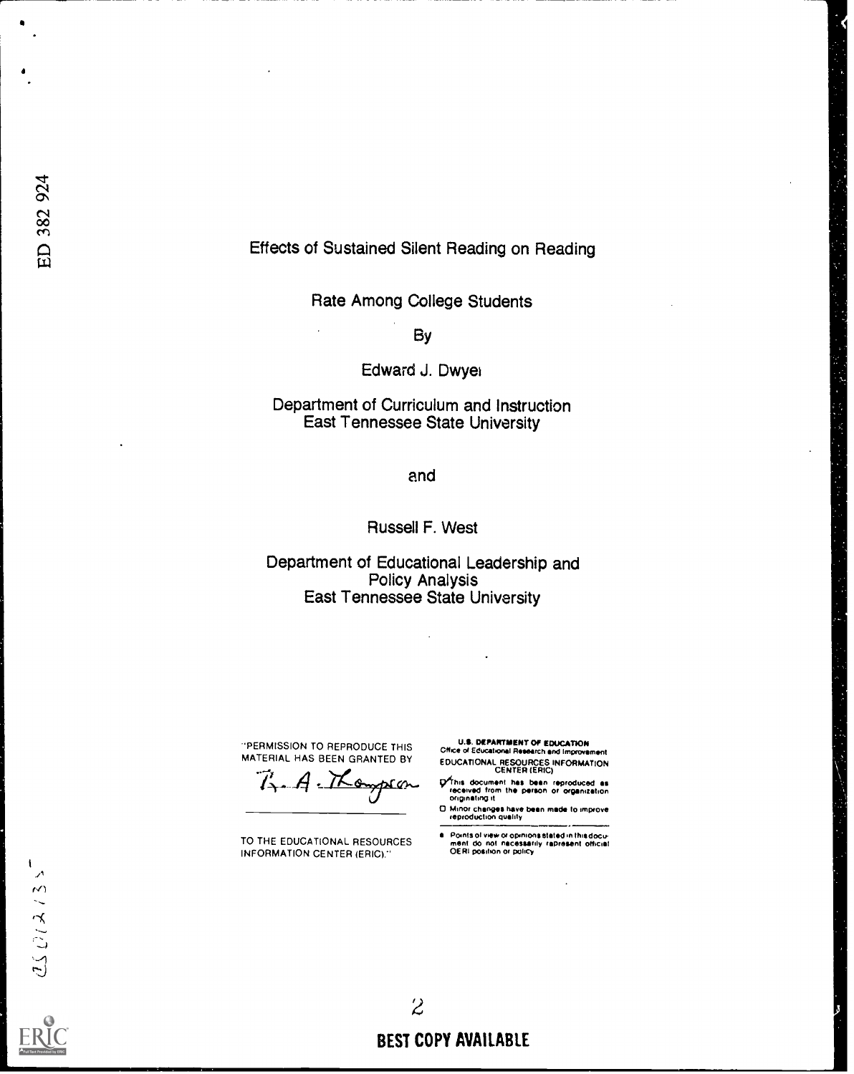## Effects of Sustained Silent Reading on Reading

Rate Among College Students

By

Edward J. Dwyek

Department of Curriculum and Instruction East Tennessee State University

and

Russell F. West

Department of Educational Leadership and Policy Analysis East Tennessee State University

÷.

-PERMISSION TO REPRODUCE THIS

MATERIAL HAS BEEN GRANTED BY<br>7. A. Mongolan

TO THE EDUCATIONAL RESOURCES INFORMATION CENTER (ERIC)."

U.S. DEPARTMENT Of EDUCATION Office or Educational Research and Improvement EDUCATIONAL RESOURCES INFORMATION CENTER (ERIC)

Ohm document has been reproduced as received from the person Or organization originating it

0 Minor changes have been made to improve reproduction quality

Points of view or opinions stated in this docu-<br>ment :do: not: nacessarily .rapresent: official<br>OERI position or policy

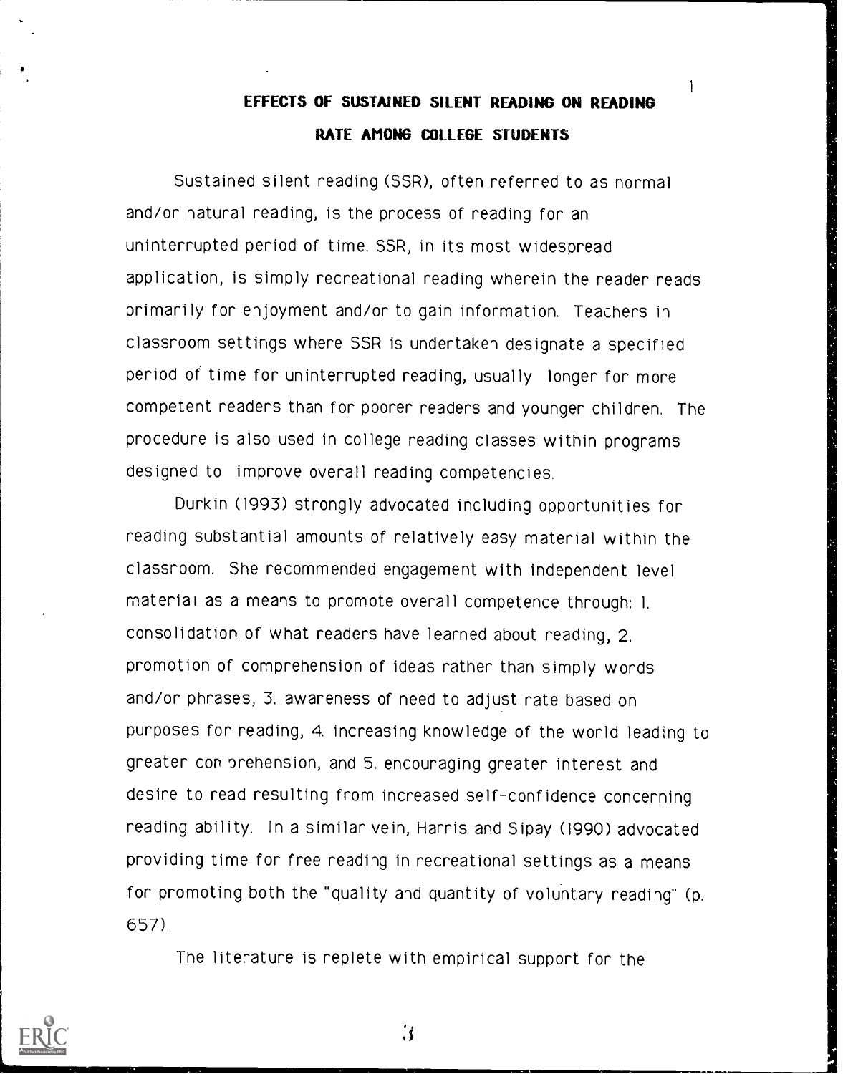# EFFECTS OF SUSTAINED SILENT READING ON READING RATE AMONG COLLEGE STUDENTS

1

Sustained silent reading (SSR), often referred to as normal and/or natural reading, is the process of reading for an uninterrupted period of time. SSR, in its most widespread application, is simply recreational reading wherein the reader reads primarily for enjoyment and/or to gain information. Teachers in classroom settings where SSR is undertaken designate a specified period of time for uninterrupted reading, usually longer for more competent readers than for poorer readers and younger children. The procedure is also used in college reading classes within programs designed to improve overall reading competencies.

Durkin (1993) strongly advocated including opportunities for reading substantial amounts of relatively easy material within the classroom. She recommended engagement with independent level material as a means to promote overall competence through: 1. consolidation of what readers have learned about reading, 2. promotion of comprehension of ideas rather than simply words and/or phrases, 3. awareness of need to adjust rate based on purposes for reading, 4. increasing knowledge of the world leading to greater comprehension, and 5. encouraging greater interest and desire to read resulting from increased self-confidence concerning reading ability. In a similar vein, Harris and Sipay (1990) advocated providing time for free reading in recreational settings as a means for promoting both the "quality and quantity of voluntary reading" (p. 657).

The literature is replete with empirical support for the



 $\mathbf{3}$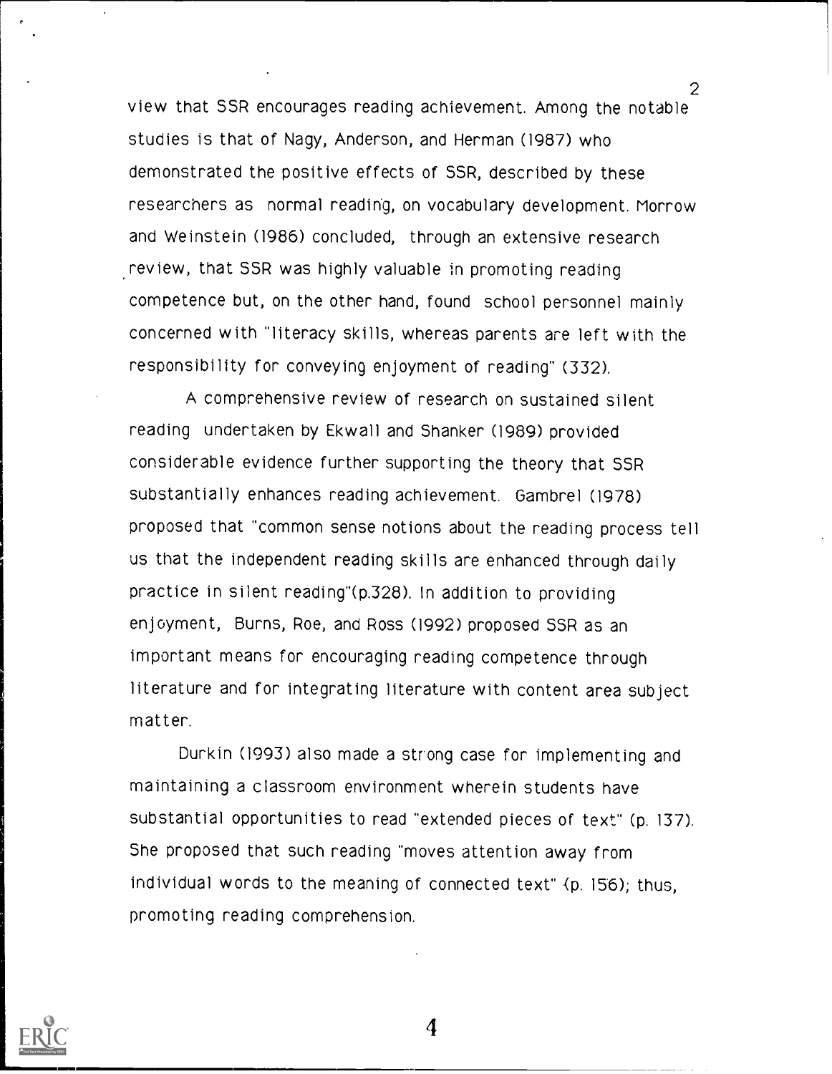view that SSR encourages reading achievement. Among the notable studies is that of Nagy, Anderson, and Herman (1987) who demonstrated the positive effects of SSR, described by these researchers as normal reading, on vocabulary development. Morrow and Weinstein (1986) concluded, through an extensive research review, that SSR was highly valuable in promoting reading competence but, on the other hand, found school personnel mainly concerned with "literacy skills, whereas parents are left with the responsibility for conveying enjoyment of reading" (332).

2

A comprehensive review of research on sustained silent reading undertaken by Ekwall and Shanker (1989) provided considerable evidence further supporting the theory that SSR substantially enhances reading achievement. Gambrel (1978) proposed that "common sense notions about the reading process tell us that the independent reading skills are enhanced through daily practice in silent reading"(p.328). In addition to providing enjoyment, Burns, Roe, and Ross (1992) proposed SSR as an important means for encouraging reading competence through literature and for integrating literature with content area subject matter.

Durkin (1993) also made a strong case for implementing and maintaining a classroom environment wherein students have substantial opportunities to read "extended pieces of text" (p. 137). She proposed that such reading "moves attention away from individual words to the meaning of connected text" {p. 156); thus, promoting reading comprehension.

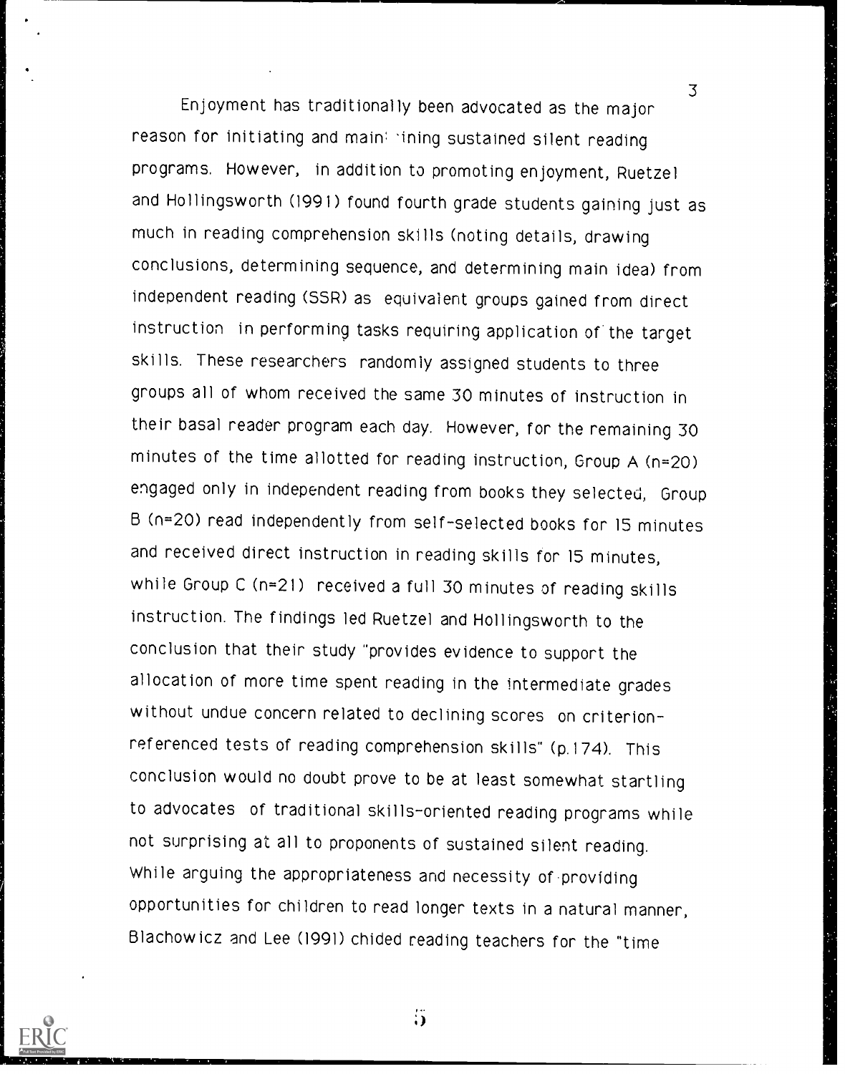3 Enjoyment has traditionally been advocated as the major reason for initiating and main: ining sustained silent reading programs. However, in addition to promoting enjoyment, Ruetzel and Hollingsworth (1991) found fourth grade students gaining just as much in reading comprehension skills (noting details, drawing conclusions, determining sequence, and determining main idea) from independent reading (SSR) as equivalent groups gained from direct instruction in performing tasks requiring application of the target skills. These researchers randomly assigned students to three groups all of whom received the same 30 minutes of instruction in their basal reader program each day. However, for the remaining 30 minutes of the time allotted for reading instruction, Group A (n=20) engaged only in independent reading from books they selected, Group B (n=20) read independently from self-selected books for 15 minutes and received direct instruction in reading skills for 15 minutes, while Group C (n=21) received a full 30 minutes of reading skills instruction. The findings led Ruetzel and Hollingsworth to the conclusion that their study "provides evidence to support the allocation of more time spent reading in the intermediate grades without undue concern related to declining scores on criterionreferenced tests of reading comprehension skills" (p.174). This conclusion would no doubt prove to be at least somewhat startling to advocates of traditional skills-oriented reading programs while not surprising at all to proponents of sustained silent reading. While arguing the appropriateness and necessity of -providing opportunities for children to read longer texts in a natural manner, Blachowicz and Lee (1991) chided reading teachers for the "time



 $\dddot{\mathbf{5}}$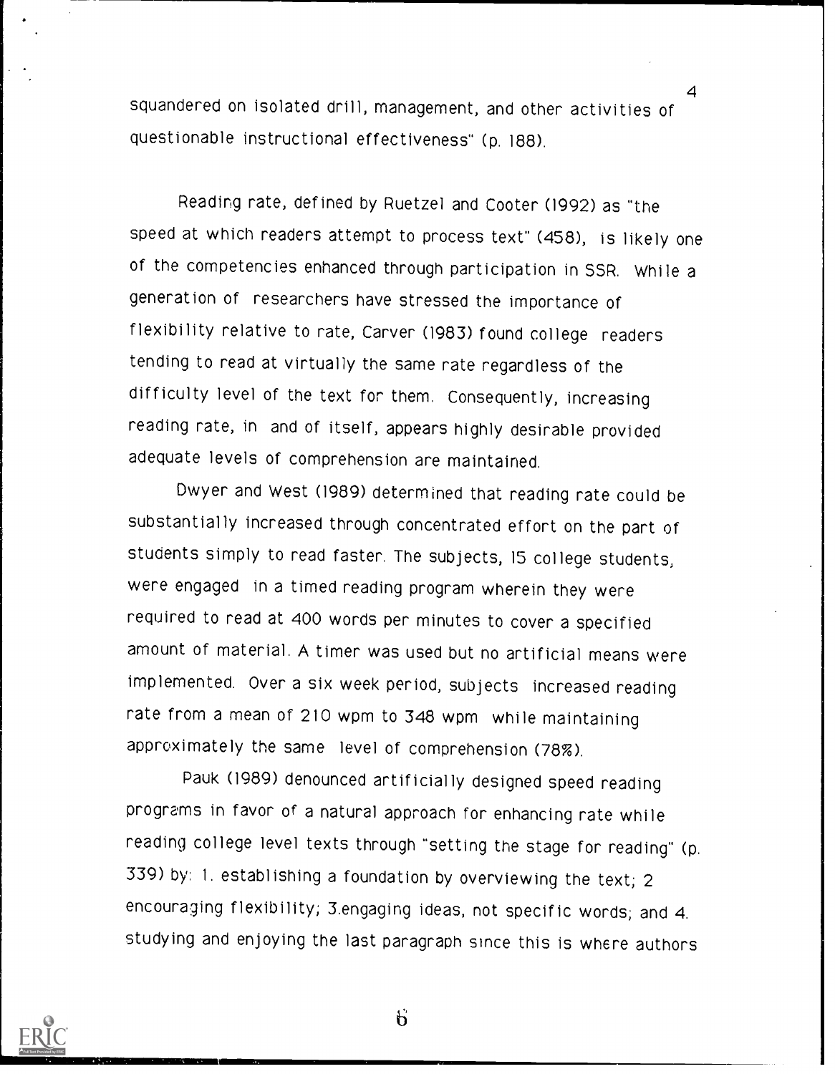squandered on isolated drill, management, and other activities of questionable instructional effectiveness" (p. 188).

4

Reading rate, defined by Ruetzel and Cooter (1992) as "the speed at which readers attempt to process text" (458), is likely one of the competencies enhanced through participation in SSR. While a generation of researchers have stressed the importance of flexibility relative to rate, Carver (1983) found college readers tending to read at virtually the same rate regardless of the difficulty level of the text for them. Consequently, increasing reading rate, in and of itself, appears highly desirable provided adequate levels of comprehension are maintained.

Dwyer and West (1989) determined that reading rate could be substantially increased through concentrated effort on the part of students simply to read faster. The subjects, 15 college students; were engaged in a timed reading program wherein they were required to read at 400 words per minutes to cover a specified amount of material. A timer was used but no artificial means were implemented. Over a six week period, subjects increased reading rate from a mean of 210 wpm to 348 wpm while maintaining approximately the same level of comprehension (78%).

Pauk (1989) denounced artificially designed speed reading programs in favor of a natural approach for enhancing rate while reading college level texts through "setting the stage for reading" (p. 339) by: 1. establishing a foundation by overviewing the text; 2 encouraging flexibility; 3.engaging ideas, not specific words; and 4. studying and enjoying the last paragraph since this is where authors



 $\ddot{b}$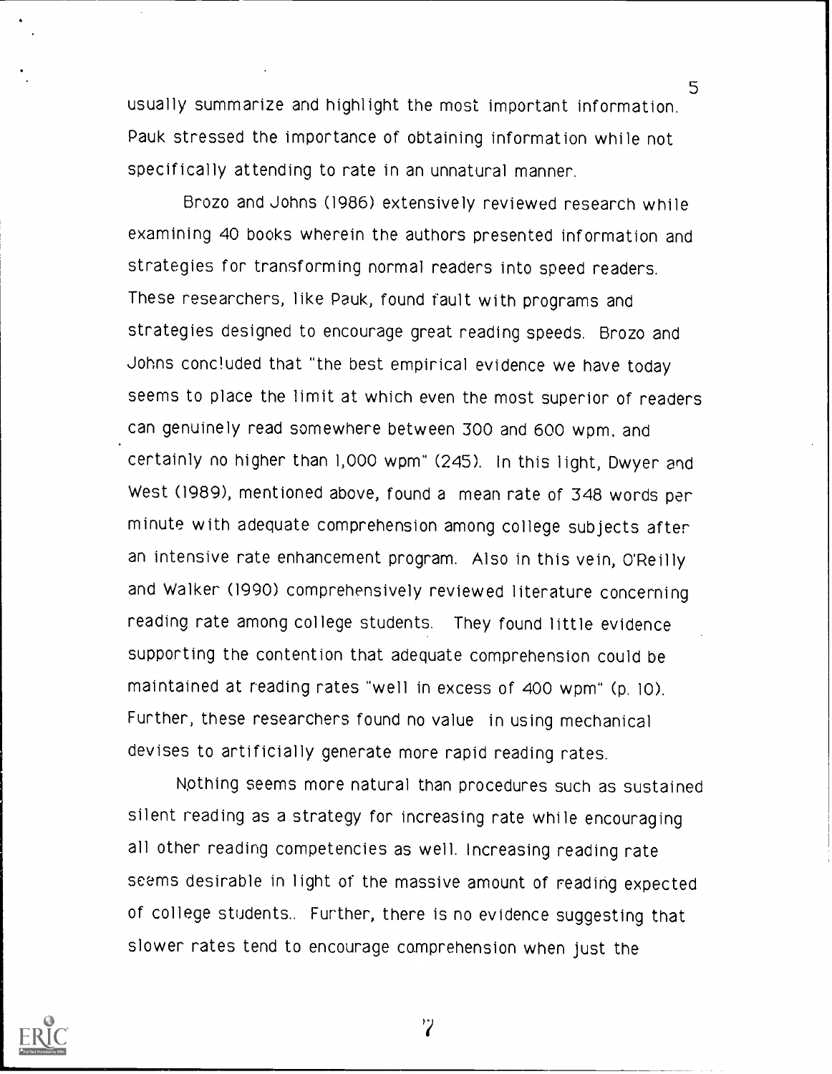usually summarize and highlight the most important information. Pauk stressed the importance of obtaining information while not specifically attending to rate in an unnatural manner.

5

Brozo and Johns (1986) extensively reviewed research while examining 40 books wherein the authors presented information and strategies for transforming normal readers into speed readers. These researchers, like Pauk, found fault with programs and strategies designed to encourage great reading speeds. Brozo and Johns concluded that "the best empirical evidence we have today seems to place the limit at which even the most superior of readers can genuinely read somewhere between 300 and 600 wpm. and certainly no higher than 1,000 wpm" (245). In this light, Dwyer and West (1989), mentioned above, found a mean rate of 348 words per minute with adequate comprehension among college subjects after an intensive rate enhancement program. Also in this vein, O'Reilly and Walker (1990) comprehensively reviewed literature concerning reading rate among college students. They found little evidence supporting the contention that adequate comprehension could be maintained at reading rates "well in excess of 400 wpm" (p. 10). Further, these researchers found no value in using mechanical devises to artificially generate more rapid reading rates.

Rothing seems more natural than procedures such as sustained silent reading as a strategy for increasing rate while encouraging all other reading competencies as well. Increasing reading rate seems desirable in light of the massive amount of reading expected of college students.. Further, there is no evidence suggesting that slower rates tend to encourage comprehension when just the

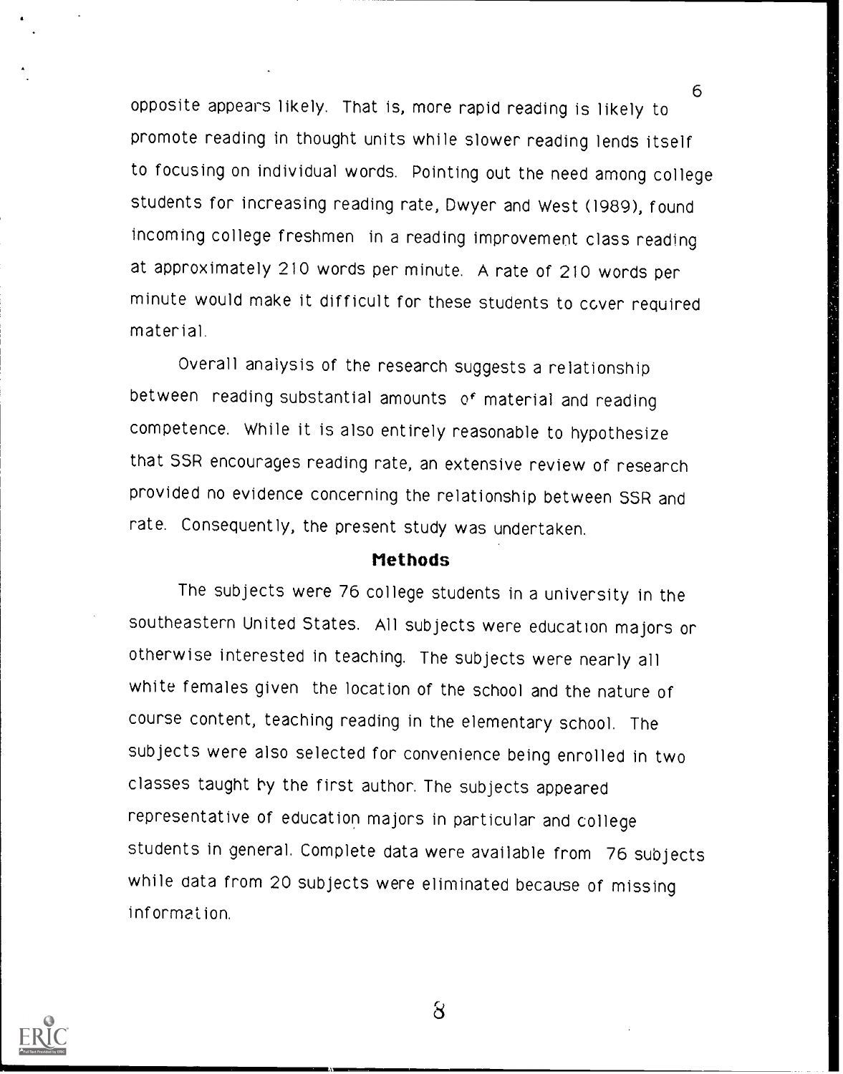6 opposite appears likely. That is, more rapid reading is likely to promote reading in thought units while slower reading lends itself to focusing on individual words. Pointing out the need among college students for increasing reading rate, Dwyer and West (1989), found incoming college freshmen in a reading improvement class reading at approximately 210 words per minute. A rate of 210 words per minute would make it difficult for these students to cover required material.

Overall analysis of the research suggests a relationship between reading substantial amounts of material and reading competence. While it is also entirely reasonable to hypothesize that SSR encourages reading rate, an extensive review of research provided no evidence concerning the relationship between SSR and rate. Consequently, the present study was undertaken.

#### Methods

The subjects were 76 college students in a university in the southeastern United States. All subjects were education majors or otherwise interested in teaching. The subjects were nearly all white females given the location of the school and the nature of course content, teaching reading in the elementary school. The subjects were also selected for convenience being enrolled in two classes taught by the first author. The subjects appeared representative of education majors in particular and college students in general. Complete data were available from 76 subjects while data from 20 subjects were eliminated because of missing information.

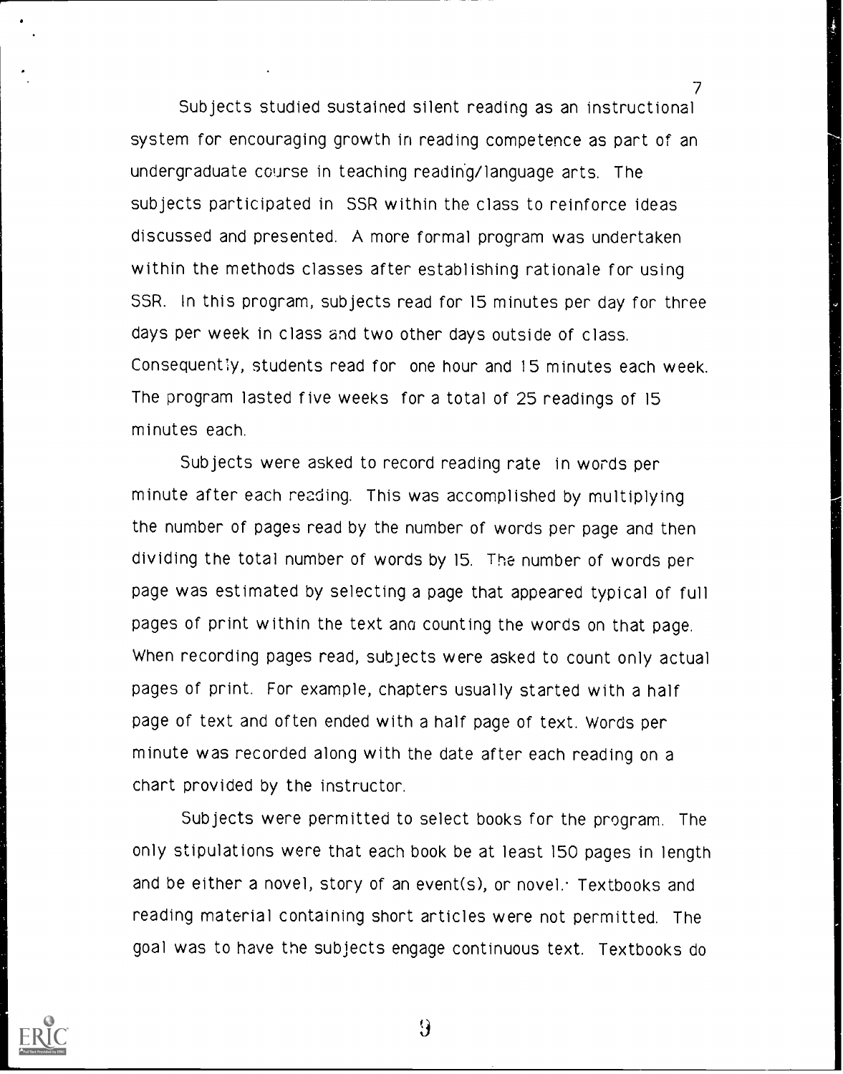7 Subjects studied sustained silent reading as an instructional system for encouraging growth in reading competence as part of an undergraduate course in teaching reading/language arts. The subjects participated in SSR within the class to reinforce ideas discussed and presented. A more formal program was undertaken within the methods classes after establishing rationale for using SSR. In this program, subjects read for 15 minutes per day for three days per week in class and two other days outside of class. Consequently, students read for one hour and 15 minutes each week. The program lasted five weeks for a total of 25 readings of 15 minutes each.

Subjects were asked to record reading rate in words per minute after each reading. This was accomplished by multiplying the number of pages read by the number of words per page and then dividing the total number of words by 15. The number of words per page was estimated by selecting a page that appeared typical of full pages of print within the text ano counting the words on that page. When recording pages read, subjects were asked to count only actual pages of print. For example, chapters usually started with a half page of text and often ended with a half page of text. Words per minute was recorded along with the date after each reading on a chart provided by the instructor.

Subjects were permitted to select books for the program. The only stipulations were that each book be at least 150 pages in length and be either a novel, story of an event(s), or novel: Textbooks and reading material containing short articles were not permitted. The goal was to have the subjects engage continuous text. Textbooks do



 $\Omega$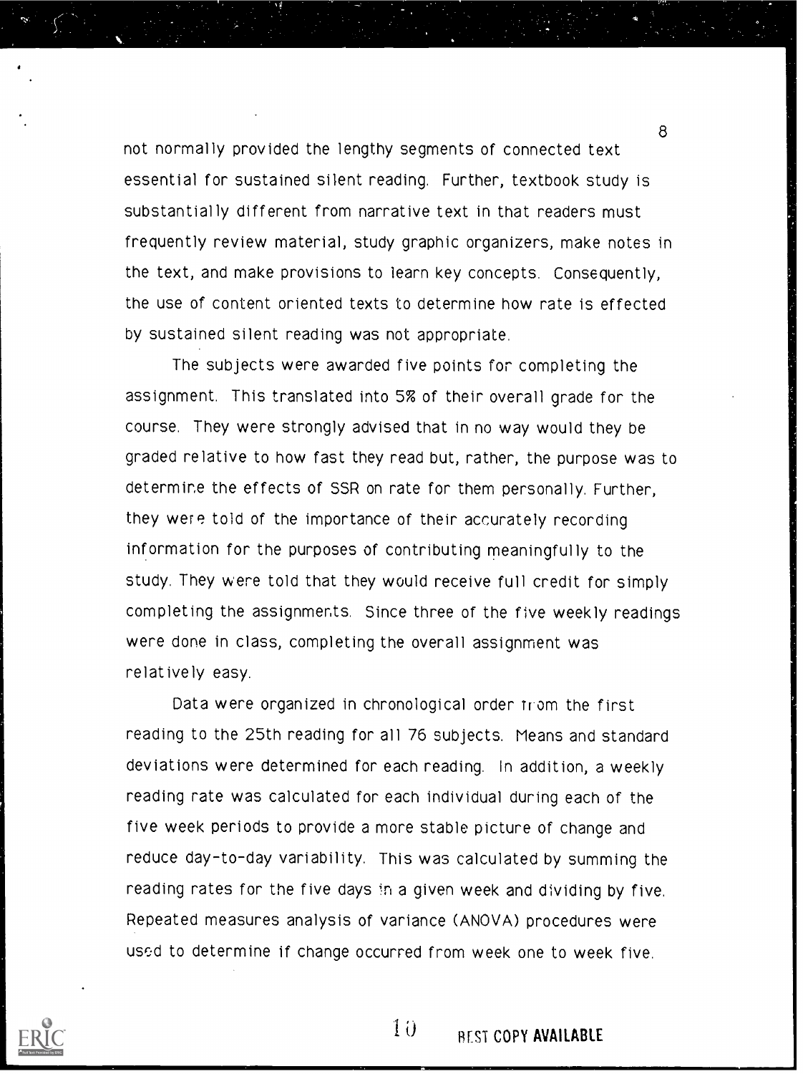not normally provided the lengthy segments of connected text essential for sustained silent reading. Further, textbook study is substantially different from narrative text in that readers must frequently review material, study graphic organizers, make notes in the text, and make provisions to learn key concepts. Consequently, the use of content oriented texts to determine how rate is effected by sustained silent reading was not appropriate.

The subjects were awarded five points for completing the assignment. This translated into 5% of their overall grade for the course. They were strongly advised that in no way would they be graded relative to how fast they read but, rather, the purpose was to determine the effects of SSR on rate for them personally. Further, they were told of the importance of their accurately recording information for the purposes of contributing meaningfully to the study. They were told that they would receive full credit for simply completing the assignments. Since three of the five weekly readings were done in class, completing the overall assignment was relatively easy.

Data were organized in chronological order trom the first reading to the 25th reading for all 76 subjects. Means and standard deviations were determined for each reading. In addition, a weekly reading rate was calculated for each individual during each of the five week periods to provide a more stable picture of change and reduce day-to-day variability. This was calculated by summing the reading rates for the five days in a given week and dividing by five. Repeated measures analysis of variance (ANOVA) procedures were used to determine if change occurred from week one to week five.



 $10$ REST COPY AVAILABLE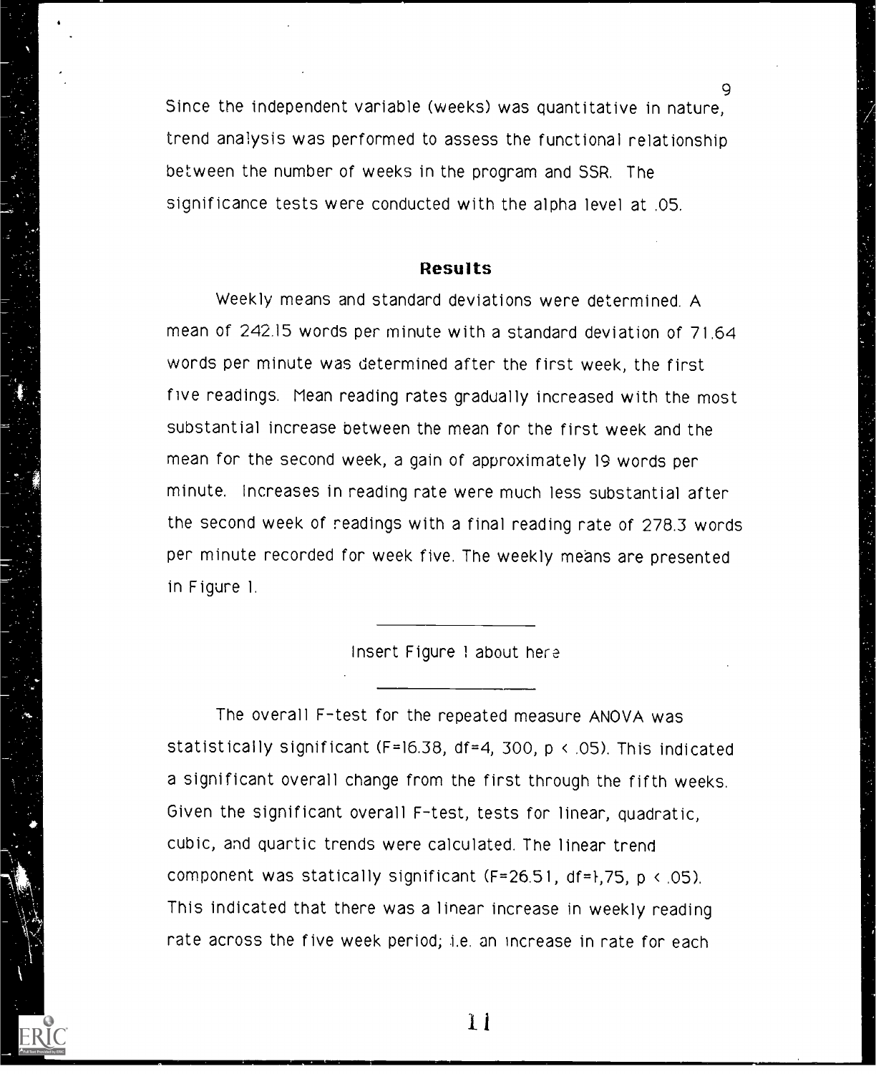9 Since the independent variable (weeks) was quantitative in nature, trend analysis was performed to assess the functional relationship between the number of weeks in the program and SSR. The significance tests were conducted with the alpha level at .05.

### Results

Weekly means and standard deviations were determined. A mean of 242.15 words per minute with a standard deviation of 71.64 words per minute was determined after the first week, the first five readings. Mean reading rates gradually increased with the most substantial increase between the mean for the first week and the mean for the second week, a gain of approximately 19 words per minute. Increases in reading rate were much less substantial after the second week of readings with a final reading rate of 278.3 words per minute recorded for week five. The weekly means are presented in Figure 1.

#### Insert Figure 1 about her

The overall F-test for the repeated measure ANOVA was statistically significant (F=16.38, df=4, 300, p < .05). This indicated a significant overall change from the first through the fifth weeks. Given the significant overall F-test, tests for linear, quadratic, cubic, and quartic trends were calculated. The linear trend component was statically significant  $(F=26.51, df=1,75, p \le 05)$ . This indicated that there was a linear increase in weekly reading rate across the five week period; i.e. an increase in rate for each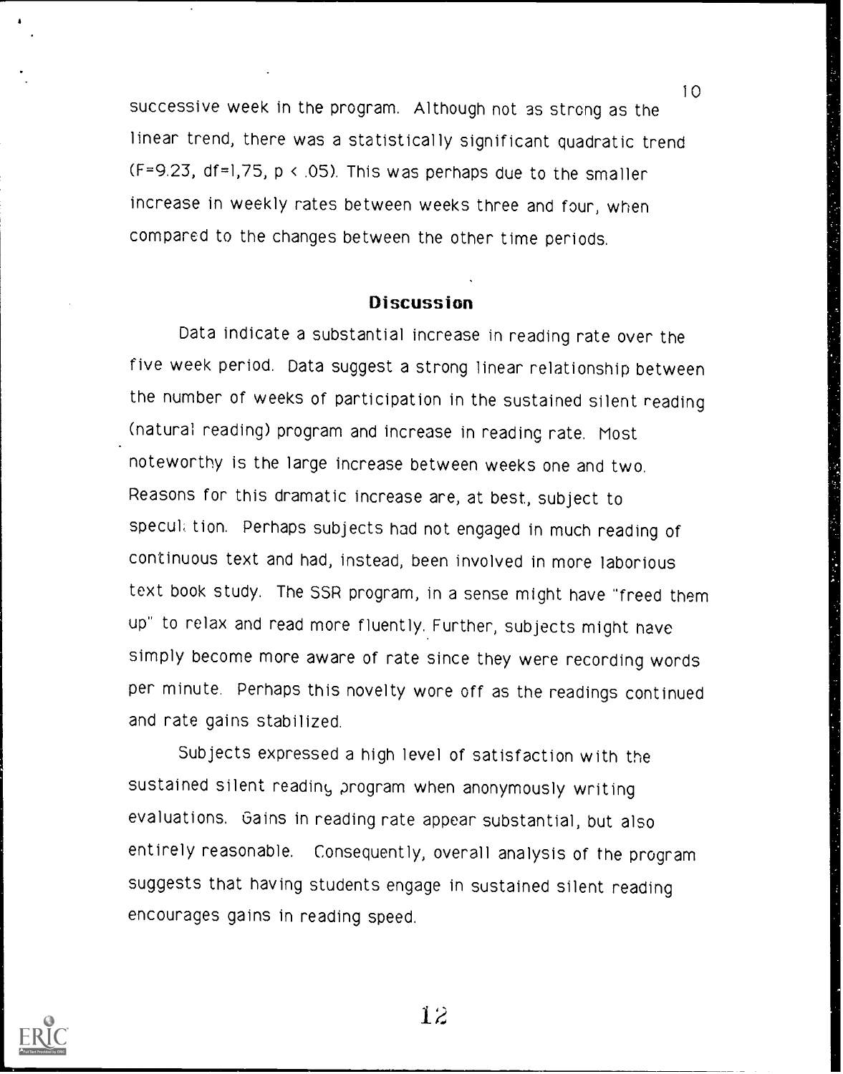successive week in the program. Although not as strong as the linear trend, there was a statistically significant quadratic trend (F=9.23, df=1,75, p < .05). This was perhaps due to the smaller increase in weekly rates between weeks three and four, when compared to the changes between the other time periods.

#### **Discussion**

Data indicate a substantial increase in reading rate over the five week period. Data suggest a strong linear relationship between the number of weeks of participation in the sustained silent reading (natural reading) program and increase in reading rate. Most noteworthy is the large increase between weeks one and two. Reasons for this dramatic increase are, at best, subject to specul. tion. Perhaps subjects had not engaged in much reading of continuous text and had, instead, been involved in more laborious text book study. The SSR program, in a sense might have "freed them up" to relax and read more fluently. Further, subjects might nave simply become more aware of rate since they were recording words per minute. Perhaps this novelty wore off as the readings continued and rate gains stabilized.

Subjects expressed a high level of satisfaction with the sustained silent reading program when anonymously writing evaluations. Gains in reading rate appear substantial, but also entirely reasonable. Consequently, overall analysis of the program suggests that having students engage in sustained silent reading encourages gains in reading speed.



12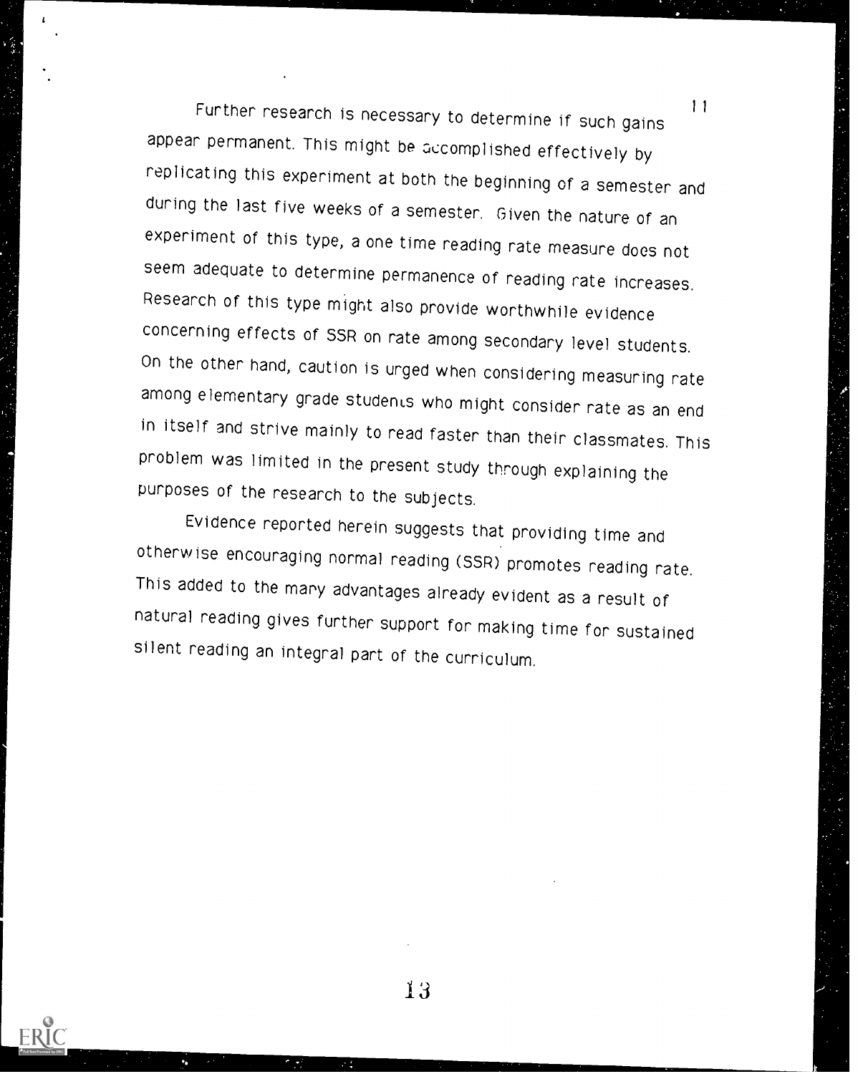Further research is necessary to determine if such gains appear permanent. This might be accomplished effectively by replicating this experiment at both the beginning of a semester and during the last five weeks of a semester. Given the nature of an experiment of this type, a one time reading rate measure does not seem adequate to determine permanence of reading rate increases. Research of this type might also provide worthwhile evidence concerning effects of SSR on rate among secondary level students. On the other hand, caution is urged when considering measuring rate among elementary grade students who might consider rate as an end in itself and strive mainly to read faster than their classmates. This problem was limited in the present study through explaining the purposes of the research to the subjects.

 $\mathbf{r}$ 

Evidence reported herein suggests that providing time and otherwise encouraging normal reading (SSR) promotes reading rate. This added to the many advantages already evident as a result of natural reading gives further support for making time for sustained silent reading an integral part of the curriculum.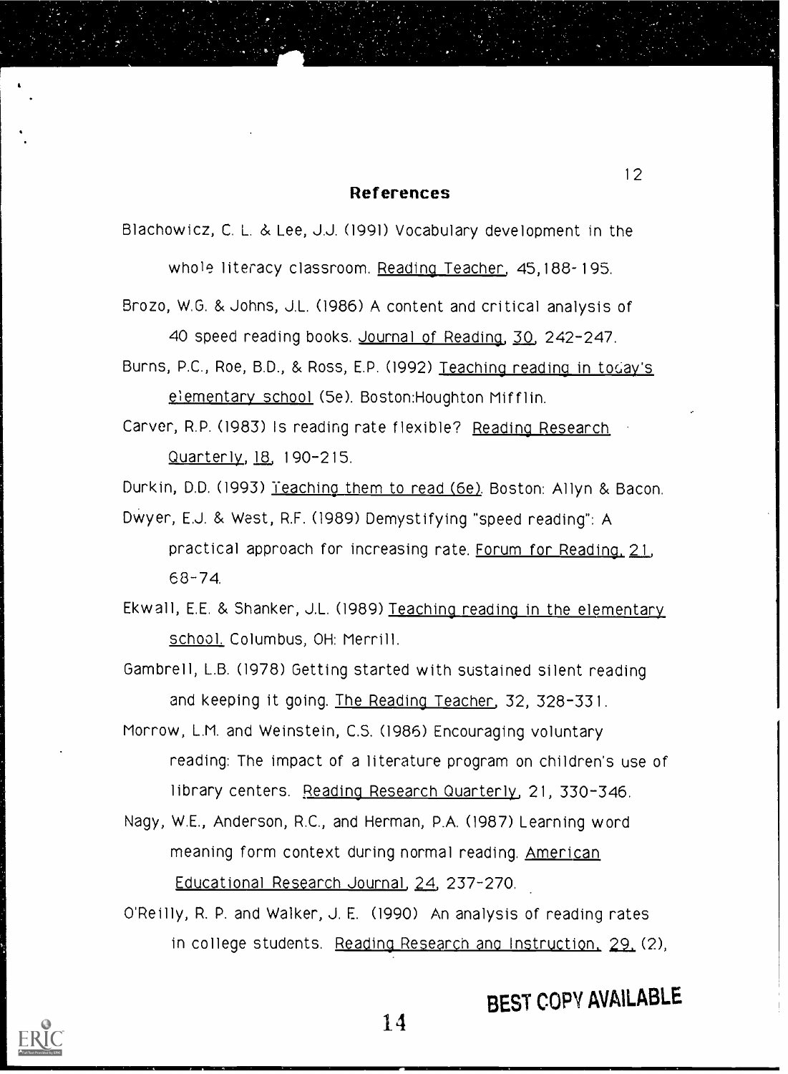#### References

Blachowicz, C. L. & Lee, J.J. (1991) Vocabulary development in the

whole literacy classroom. Reading Teacher, 45,188-195.

- Brozo, W.G. & Johns, J.L. (1986) A content and critical analysis of 40 speed reading books. Journal of Reading, 30, 242-247.
- Burns, P.C., Roe, B.D., & Ross, E.P. (1992) Teaching reading in tocay's elementary school (5e). Boston:Houghton Mifflin.
- Carver, R.P. (1983) Is reading rate flexible? Reading Research Quarterly, 18, 190-215.

Durkin, D.D. (1993) leaching them to read (6e). Boston: Allyn & Bacon.

DWyer, E.J. & West, R.F. (1989) Demystifying "speed reading": A practical approach for increasing rate. Forum for Reading, 21 68-74.

Ekwall, E.E. & Shanker, J.L. (1989) Teaching reading in the elementary school. Columbus, OH: Merrill.

Gambrel], L.B. (1978) Getting started with sustained silent reading and keeping it going. The Reading Teacher, 32, 328-331.

Morrow, L.M. and Weinstein, C.S. (1986) Encouraging voluntary reading: The impact of a literature program on children's use of library centers. Reading Research Quarterly, 21, 330-346.

Nagy, W.E., Anderson, R.C., and Herman, P.A. (1987) Learning word meaning form context during normal reading. American Educational Research Journal, 24, 237-270.

O'Reilly, R. P. and Walker, J. E. (1990) An analysis of reading rates in college students. Reading Research and Instruction. 29. (2),



# BEST COPY AVAILABLE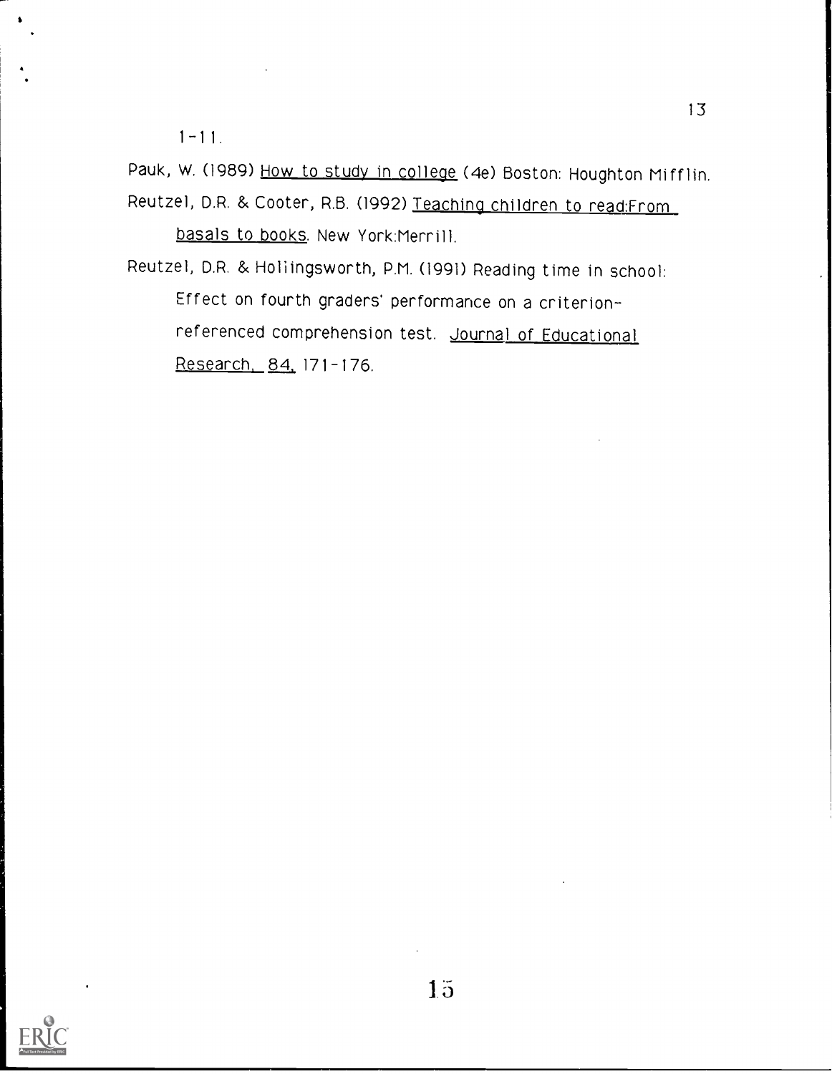1-11.

Pauk, W. (1989) How to study in college (4e) Boston: Houghton Mifflin. Reutzel, D.R. & Cooter, R.B. (1992) Teaching children to read:From basals to books. New York:Merrill.

Reutzel, D.R. & Hollingsworth, P.M. (1991) Reading time in school: Effect on fourth graders' performance on a criterionreferenced comprehension test. Journal of Educational Research, 84, 171-176.